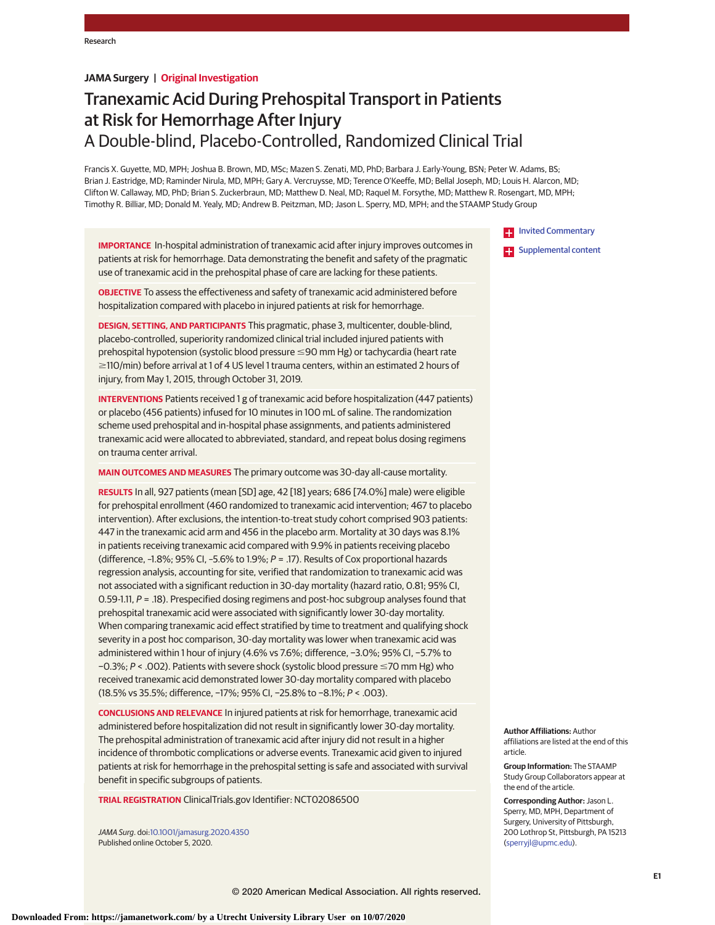# **JAMA Surgery | Original Investigation**

# Tranexamic Acid During Prehospital Transport in Patients at Risk for Hemorrhage After Injury A Double-blind, Placebo-Controlled, Randomized Clinical Trial

Francis X. Guyette, MD, MPH; Joshua B. Brown, MD, MSc; Mazen S. Zenati, MD, PhD; Barbara J. Early-Young, BSN; Peter W. Adams, BS; Brian J. Eastridge, MD; Raminder Nirula, MD, MPH; Gary A. Vercruysse, MD; Terence O'Keeffe, MD; Bellal Joseph, MD; Louis H. Alarcon, MD; Clifton W. Callaway, MD, PhD; Brian S. Zuckerbraun, MD; Matthew D. Neal, MD; Raquel M. Forsythe, MD; Matthew R. Rosengart, MD, MPH; Timothy R. Billiar, MD; Donald M. Yealy, MD; Andrew B. Peitzman, MD; Jason L. Sperry, MD, MPH; and the STAAMP Study Group

**IMPORTANCE** In-hospital administration of tranexamic acid after injury improves outcomes in patients at risk for hemorrhage. Data demonstrating the benefit and safety of the pragmatic use of tranexamic acid in the prehospital phase of care are lacking for these patients.

**OBJECTIVE** To assess the effectiveness and safety of tranexamic acid administered before hospitalization compared with placebo in injured patients at risk for hemorrhage.

**DESIGN, SETTING, AND PARTICIPANTS** This pragmatic, phase 3, multicenter, double-blind, placebo-controlled, superiority randomized clinical trial included injured patients with prehospital hypotension (systolic blood pressure ≤90 mm Hg) or tachycardia (heart rate  $\geq$ 110/min) before arrival at 1 of 4 US level 1 trauma centers, within an estimated 2 hours of injury, from May 1, 2015, through October 31, 2019.

**INTERVENTIONS** Patients received 1 g of tranexamic acid before hospitalization (447 patients) or placebo (456 patients) infused for 10 minutes in 100 mL of saline. The randomization scheme used prehospital and in-hospital phase assignments, and patients administered tranexamic acid were allocated to abbreviated, standard, and repeat bolus dosing regimens on trauma center arrival.

**MAIN OUTCOMES AND MEASURES** The primary outcome was 30-day all-cause mortality.

**RESULTS** In all, 927 patients (mean [SD] age, 42 [18] years; 686 [74.0%] male) were eligible for prehospital enrollment (460 randomized to tranexamic acid intervention; 467 to placebo intervention). After exclusions, the intention-to-treat study cohort comprised 903 patients: 447 in the tranexamic acid arm and 456 in the placebo arm. Mortality at 30 days was 8.1% in patients receiving tranexamic acid compared with 9.9% in patients receiving placebo (difference, –1.8%; 95% CI, –5.6% to 1.9%; P = .17). Results of Cox proportional hazards regression analysis, accounting for site, verified that randomization to tranexamic acid was not associated with a significant reduction in 30-day mortality (hazard ratio, 0.81; 95% CI, 0.59-1.11, P = .18). Prespecified dosing regimens and post-hoc subgroup analyses found that prehospital tranexamic acid were associated with significantly lower 30-day mortality. When comparing tranexamic acid effect stratified by time to treatment and qualifying shock severity in a post hoc comparison, 30-day mortality was lower when tranexamic acid was administered within 1 hour of injury (4.6% vs 7.6%; difference, −3.0%; 95% CI, −5.7% to −0.3%; P < .002). Patients with severe shock (systolic blood pressure ≤70 mm Hg) who received tranexamic acid demonstrated lower 30-day mortality compared with placebo (18.5% vs 35.5%; difference, −17%; 95% CI, −25.8% to −8.1%; P < .003).

**CONCLUSIONS AND RELEVANCE** In injured patients at risk for hemorrhage, tranexamic acid administered before hospitalization did not result in significantly lower 30-day mortality. The prehospital administration of tranexamic acid after injury did not result in a higher incidence of thrombotic complications or adverse events. Tranexamic acid given to injured patients at risk for hemorrhage in the prehospital setting is safe and associated with survival benefit in specific subgroups of patients.

**TRIAL REGISTRATION** ClinicalTrials.gov Identifier: NCT02086500

JAMA Surg. doi[:10.1001/jamasurg.2020.4350](https://jamanetwork.com/journals/jama/fullarticle/10.1001/jamasurg.2020.4350?utm_campaign=articlePDF%26utm_medium=articlePDFlink%26utm_source=articlePDF%26utm_content=jamasurg.2020.4350) Published online October 5, 2020.

**[Invited Commentary](https://jamanetwork.com/journals/jama/fullarticle/10.1001/jamasurg.2020.4385?utm_campaign=articlePDF%26utm_medium=articlePDFlink%26utm_source=articlePDF%26utm_content=jamasurg.2020.4350)** 

**Examplemental content** 

**Author Affiliations:** Author affiliations are listed at the end of this article.

**Group Information:** The STAAMP Study Group Collaborators appear at the end of the article.

**Corresponding Author:** Jason L. Sperry, MD, MPH, Department of Surgery, University of Pittsburgh, 200 Lothrop St, Pittsburgh, PA 15213 [\(sperryjl@upmc.edu\)](mailto:sperryjl@upmc.edu).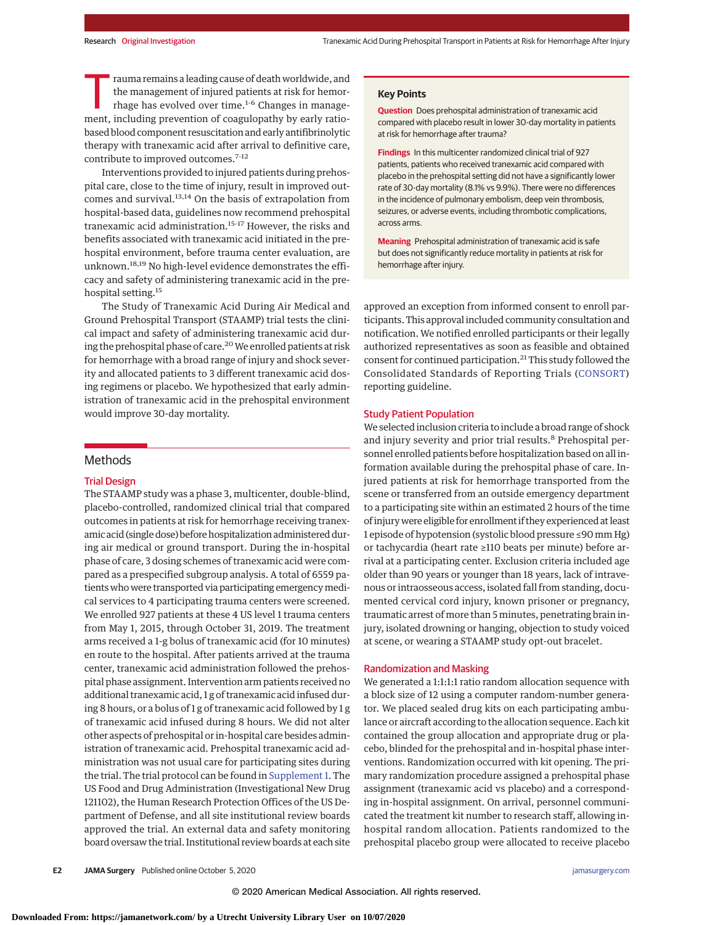Trauma remains a leading cause of death worldwide, and<br>the management of injured patients at risk for hemor-<br>thage has evolved over time.<sup>1-6</sup> Changes in manage-<br>mont-including provention of coordinathy by orly ratiothe management of injured patients at risk for hemorment, including prevention of coagulopathy by early ratiobased blood component resuscitation and early antifibrinolytic therapy with tranexamic acid after arrival to definitive care, contribute to improved outcomes.<sup>7-12</sup>

Interventions provided to injured patients during prehospital care, close to the time of injury, result in improved outcomes and survival.<sup>13,14</sup> On the basis of extrapolation from hospital-based data, guidelines now recommend prehospital tranexamic acid administration.15-17 However, the risks and benefits associated with tranexamic acid initiated in the prehospital environment, before trauma center evaluation, are unknown.18,19 No high-level evidence demonstrates the efficacy and safety of administering tranexamic acid in the prehospital setting.<sup>15</sup>

The Study of Tranexamic Acid During Air Medical and Ground Prehospital Transport (STAAMP) trial tests the clinical impact and safety of administering tranexamic acid during the prehospital phase of care.<sup>20</sup> We enrolled patients at risk for hemorrhage with a broad range of injury and shock severity and allocated patients to 3 different tranexamic acid dosing regimens or placebo. We hypothesized that early administration of tranexamic acid in the prehospital environment would improve 30-day mortality.

# **Methods**

# Trial Design

The STAAMP study was a phase 3, multicenter, double-blind, placebo-controlled, randomized clinical trial that compared outcomes in patients at risk for hemorrhage receiving tranexamic acid (single dose) before hospitalization administered during air medical or ground transport. During the in-hospital phase of care, 3 dosing schemes of tranexamic acid were compared as a prespecified subgroup analysis. A total of 6559 patients who were transported via participating emergencymedical services to 4 participating trauma centers were screened. We enrolled 927 patients at these 4 US level 1 trauma centers from May 1, 2015, through October 31, 2019. The treatment arms received a 1-g bolus of tranexamic acid (for 10 minutes) en route to the hospital. After patients arrived at the trauma center, tranexamic acid administration followed the prehospital phase assignment. Intervention arm patients received no additional tranexamic acid, 1 g of tranexamic acid infused during 8 hours, or a bolus of 1 g of tranexamic acid followed by 1 g of tranexamic acid infused during 8 hours. We did not alter other aspects of prehospital or in-hospital care besides administration of tranexamic acid. Prehospital tranexamic acid administration was not usual care for participating sites during the trial. The trial protocol can be found in [Supplement 1.](https://jamanetwork.com/journals/jama/fullarticle/10.1001/jamasurg.2020.4350?utm_campaign=articlePDF%26utm_medium=articlePDFlink%26utm_source=articlePDF%26utm_content=jamasurg.2020.4350) The US Food and Drug Administration (Investigational New Drug 121102), the Human Research Protection Offices of the US Department of Defense, and all site institutional review boards approved the trial. An external data and safety monitoring board oversaw the trial. Institutional review boards at each site

### **Key Points**

**Question** Does prehospital administration of tranexamic acid compared with placebo result in lower 30-day mortality in patients at risk for hemorrhage after trauma?

**Findings** In this multicenter randomized clinical trial of 927 patients, patients who received tranexamic acid compared with placebo in the prehospital setting did not have a significantly lower rate of 30-day mortality (8.1% vs 9.9%). There were no differences in the incidence of pulmonary embolism, deep vein thrombosis, seizures, or adverse events, including thrombotic complications, across arms.

**Meaning** Prehospital administration of tranexamic acid is safe but does not significantly reduce mortality in patients at risk for hemorrhage after injury.

approved an exception from informed consent to enroll participants. This approval included community consultation and notification. We notified enrolled participants or their legally authorized representatives as soon as feasible and obtained consent for continued participation.<sup>21</sup> This study followed the Consolidated Standards of Reporting Trials [\(CONSORT\)](https://www.equator-network.org/reporting-guidelines/consort/) reporting guideline.

### Study Patient Population

We selected inclusion criteria to include a broad range of shock and injury severity and prior trial results.<sup>8</sup> Prehospital personnel enrolled patients before hospitalization based on all information available during the prehospital phase of care. Injured patients at risk for hemorrhage transported from the scene or transferred from an outside emergency department to a participating site within an estimated 2 hours of the time of injurywere eligible for enrollment if they experienced at least 1 episode of hypotension (systolic blood pressure ≤90 mm Hg) or tachycardia (heart rate ≥110 beats per minute) before arrival at a participating center. Exclusion criteria included age older than 90 years or younger than 18 years, lack of intravenous or intraosseous access, isolated fall from standing, documented cervical cord injury, known prisoner or pregnancy, traumatic arrest of more than 5 minutes, penetrating brain injury, isolated drowning or hanging, objection to study voiced at scene, or wearing a STAAMP study opt-out bracelet.

### Randomization and Masking

We generated a 1:1:1:1 ratio random allocation sequence with a block size of 12 using a computer random-number generator. We placed sealed drug kits on each participating ambulance or aircraft according to the allocation sequence. Each kit contained the group allocation and appropriate drug or placebo, blinded for the prehospital and in-hospital phase interventions. Randomization occurred with kit opening. The primary randomization procedure assigned a prehospital phase assignment (tranexamic acid vs placebo) and a corresponding in-hospital assignment. On arrival, personnel communicated the treatment kit number to research staff, allowing inhospital random allocation. Patients randomized to the prehospital placebo group were allocated to receive placebo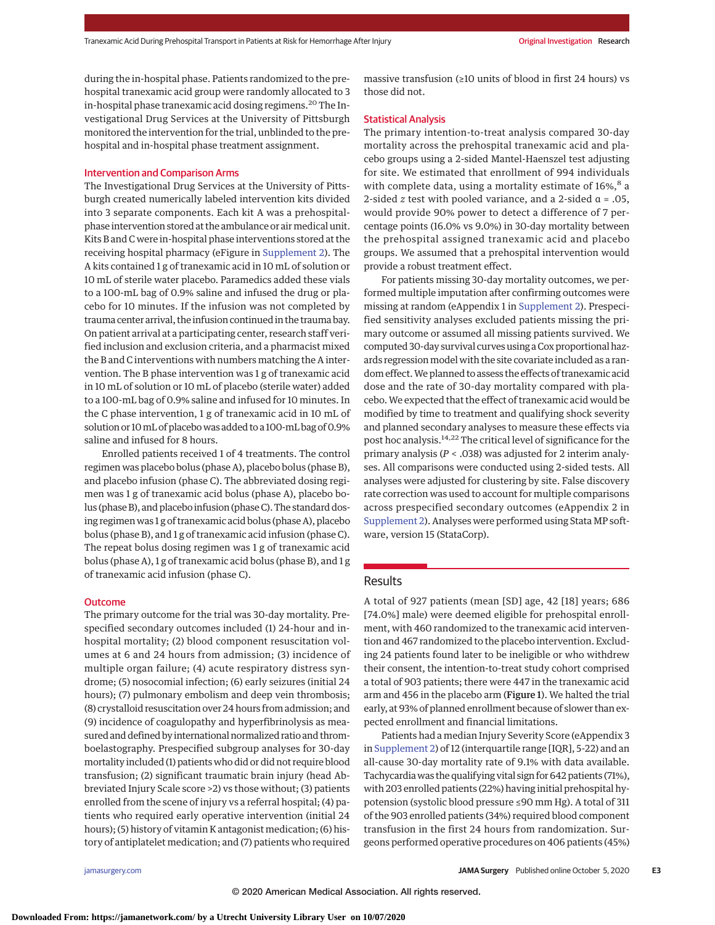during the in-hospital phase. Patients randomized to the prehospital tranexamic acid group were randomly allocated to 3 in-hospital phase tranexamic acid dosing regimens.<sup>20</sup> The Investigational Drug Services at the University of Pittsburgh monitored the intervention for the trial, unblinded to the prehospital and in-hospital phase treatment assignment.

### Intervention and Comparison Arms

The Investigational Drug Services at the University of Pittsburgh created numerically labeled intervention kits divided into 3 separate components. Each kit A was a prehospitalphase intervention stored at the ambulance or air medical unit. Kits B and C were in-hospital phase interventions stored at the receiving hospital pharmacy (eFigure in [Supplement 2\)](https://jamanetwork.com/journals/jama/fullarticle/10.1001/jamasurg.2020.4350?utm_campaign=articlePDF%26utm_medium=articlePDFlink%26utm_source=articlePDF%26utm_content=jamasurg.2020.4350). The A kits contained 1 g of tranexamic acid in 10 mL of solution or 10 mL of sterile water placebo. Paramedics added these vials to a 100-mL bag of 0.9% saline and infused the drug or placebo for 10 minutes. If the infusion was not completed by trauma center arrival, the infusion continued in the trauma bay. On patient arrival at a participating center, research staff verified inclusion and exclusion criteria, and a pharmacist mixed the B and C interventions with numbers matching the A intervention. The B phase intervention was 1 g of tranexamic acid in 10 mL of solution or 10 mL of placebo (sterile water) added to a 100-mL bag of 0.9% saline and infused for 10 minutes. In the C phase intervention, 1 g of tranexamic acid in 10 mL of solution or 10mL of placebowas added to a 100-mL bag of 0.9% saline and infused for 8 hours.

Enrolled patients received 1 of 4 treatments. The control regimen was placebo bolus (phase A), placebo bolus (phase B), and placebo infusion (phase C). The abbreviated dosing regimen was 1 g of tranexamic acid bolus (phase A), placebo bolus (phase B), and placebo infusion (phase C). The standard dosing regimen was 1 g of tranexamic acid bolus (phase A), placebo bolus (phase B), and 1 g of tranexamic acid infusion (phase C). The repeat bolus dosing regimen was 1 g of tranexamic acid bolus (phase A), 1 g of tranexamic acid bolus (phase B), and 1 g of tranexamic acid infusion (phase C).

### **Outcome**

The primary outcome for the trial was 30-day mortality. Prespecified secondary outcomes included (1) 24-hour and inhospital mortality; (2) blood component resuscitation volumes at 6 and 24 hours from admission; (3) incidence of multiple organ failure; (4) acute respiratory distress syndrome; (5) nosocomial infection; (6) early seizures (initial 24 hours); (7) pulmonary embolism and deep vein thrombosis; (8) crystalloid resuscitation over 24 hours from admission; and (9) incidence of coagulopathy and hyperfibrinolysis as measured and defined by international normalized ratio and thromboelastography. Prespecified subgroup analyses for 30-day mortality included (1) patients who did or did not require blood transfusion; (2) significant traumatic brain injury (head Abbreviated Injury Scale score >2) vs those without; (3) patients enrolled from the scene of injury vs a referral hospital; (4) patients who required early operative intervention (initial 24 hours); (5) history of vitamin K antagonist medication; (6) history of antiplatelet medication; and (7) patients who required

massive transfusion (≥10 units of blood in first 24 hours) vs those did not.

### Statistical Analysis

The primary intention-to-treat analysis compared 30-day mortality across the prehospital tranexamic acid and placebo groups using a 2-sided Mantel-Haenszel test adjusting for site. We estimated that enrollment of 994 individuals with complete data, using a mortality estimate of 16%,<sup>8</sup> a 2-sided *z* test with pooled variance, and a 2-sided α = .05, would provide 90% power to detect a difference of 7 percentage points (16.0% vs 9.0%) in 30-day mortality between the prehospital assigned tranexamic acid and placebo groups. We assumed that a prehospital intervention would provide a robust treatment effect.

For patients missing 30-day mortality outcomes, we performed multiple imputation after confirming outcomes were missing at random (eAppendix 1 in [Supplement 2\)](https://jamanetwork.com/journals/jama/fullarticle/10.1001/jamasurg.2020.4350?utm_campaign=articlePDF%26utm_medium=articlePDFlink%26utm_source=articlePDF%26utm_content=jamasurg.2020.4350). Prespecified sensitivity analyses excluded patients missing the primary outcome or assumed all missing patients survived. We computed 30-day survival curves using a Cox proportional hazards regression model with the site covariate included as a random effect.We planned to assess the effects of tranexamic acid dose and the rate of 30-day mortality compared with placebo. We expected that the effect of tranexamic acid would be modified by time to treatment and qualifying shock severity and planned secondary analyses to measure these effects via post hoc analysis.<sup>14,22</sup> The critical level of significance for the primary analysis (*P* < .038) was adjusted for 2 interim analyses. All comparisons were conducted using 2-sided tests. All analyses were adjusted for clustering by site. False discovery rate correction was used to account for multiple comparisons across prespecified secondary outcomes (eAppendix 2 in [Supplement 2\)](https://jamanetwork.com/journals/jama/fullarticle/10.1001/jamasurg.2020.4350?utm_campaign=articlePDF%26utm_medium=articlePDFlink%26utm_source=articlePDF%26utm_content=jamasurg.2020.4350). Analyses were performed using Stata MP software, version 15 (StataCorp).

# **Results**

A total of 927 patients (mean [SD] age, 42 [18] years; 686 [74.0%] male) were deemed eligible for prehospital enrollment, with 460 randomized to the tranexamic acid intervention and 467 randomized to the placebo intervention. Excluding 24 patients found later to be ineligible or who withdrew their consent, the intention-to-treat study cohort comprised a total of 903 patients; there were 447 in the tranexamic acid arm and 456 in the placebo arm (Figure 1). We halted the trial early, at 93% of planned enrollment because of slower than expected enrollment and financial limitations.

Patients had a median Injury Severity Score (eAppendix 3 in [Supplement 2\)](https://jamanetwork.com/journals/jama/fullarticle/10.1001/jamasurg.2020.4350?utm_campaign=articlePDF%26utm_medium=articlePDFlink%26utm_source=articlePDF%26utm_content=jamasurg.2020.4350) of 12 (interquartile range [IQR], 5-22) and an all-cause 30-day mortality rate of 9.1% with data available. Tachycardia was the qualifying vital sign for 642 patients (71%), with 203 enrolled patients (22%) having initial prehospital hypotension (systolic blood pressure ≤90 mm Hg). A total of 311 of the 903 enrolled patients (34%) required blood component transfusion in the first 24 hours from randomization. Surgeons performed operative procedures on 406 patients (45%)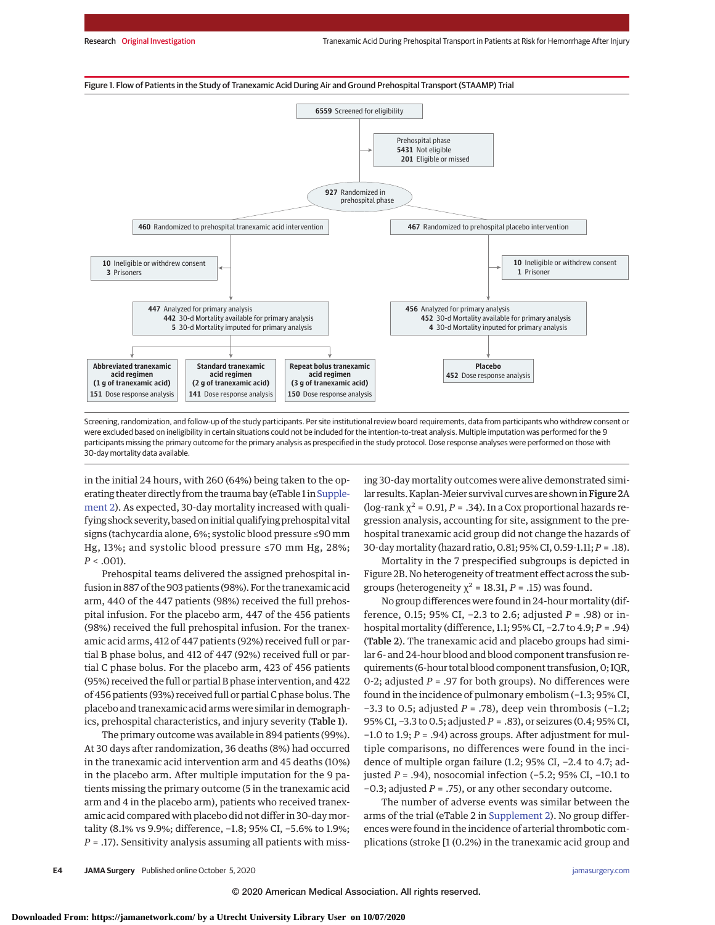



Screening, randomization, and follow-up of the study participants. Per site institutional review board requirements, data from participants who withdrew consent or were excluded based on ineligibility in certain situations could not be included for the intention-to-treat analysis. Multiple imputation was performed for the 9 participants missing the primary outcome for the primary analysis as prespecified in the study protocol. Dose response analyses were performed on those with 30-day mortality data available.

in the initial 24 hours, with 260 (64%) being taken to the op-erating theater directly from the trauma bay (eTable 1 in [Supple](https://jamanetwork.com/journals/jama/fullarticle/10.1001/jamasurg.2020.4350?utm_campaign=articlePDF%26utm_medium=articlePDFlink%26utm_source=articlePDF%26utm_content=jamasurg.2020.4350)[ment 2\)](https://jamanetwork.com/journals/jama/fullarticle/10.1001/jamasurg.2020.4350?utm_campaign=articlePDF%26utm_medium=articlePDFlink%26utm_source=articlePDF%26utm_content=jamasurg.2020.4350). As expected, 30-day mortality increased with qualifying shock severity, based on initial qualifying prehospital vital signs (tachycardia alone, 6%; systolic blood pressure ≤90 mm Hg, 13%; and systolic blood pressure ≤70 mm Hg, 28%; *P* < .001).

Prehospital teams delivered the assigned prehospital infusion in 887 of the 903 patients (98%). For the tranexamic acid arm, 440 of the 447 patients (98%) received the full prehospital infusion. For the placebo arm, 447 of the 456 patients (98%) received the full prehospital infusion. For the tranexamic acid arms, 412 of 447 patients (92%) received full or partial B phase bolus, and 412 of 447 (92%) received full or partial C phase bolus. For the placebo arm, 423 of 456 patients (95%) received the full or partial B phase intervention, and 422 of 456 patients (93%) received full or partial C phase bolus. The placebo and tranexamic acid arms were similar in demographics, prehospital characteristics, and injury severity (Table 1).

The primary outcome was available in 894 patients (99%). At 30 days after randomization, 36 deaths (8%) had occurred in the tranexamic acid intervention arm and 45 deaths (10%) in the placebo arm. After multiple imputation for the 9 patients missing the primary outcome (5 in the tranexamic acid arm and 4 in the placebo arm), patients who received tranexamic acid compared with placebo did not differ in 30-daymortality (8.1% vs 9.9%; difference, −1.8; 95% CI, −5.6% to 1.9%; *P* = .17). Sensitivity analysis assuming all patients with missing 30-day mortality outcomes were alive demonstrated similar results. Kaplan-Meier survival curves are shown in Figure 2A (log-rank  $\chi^2$  = 0.91, *P* = .34). In a Cox proportional hazards regression analysis, accounting for site, assignment to the prehospital tranexamic acid group did not change the hazards of 30-daymortality (hazard ratio, 0.81; 95% CI, 0.59-1.11; *P* = .18).

Mortality in the 7 prespecified subgroups is depicted in Figure 2B. No heterogeneity of treatment effect across the subgroups (heterogeneity  $\chi^2$  = 18.31, *P* = .15) was found.

No group differences were found in 24-hour mortality (difference, 0.15; 95% CI, −2.3 to 2.6; adjusted *P* = .98) or inhospital mortality (difference, 1.1; 95% CI, −2.7 to 4.9; *P* = .94) (Table 2). The tranexamic acid and placebo groups had similar 6- and 24-hour blood and blood component transfusion requirements (6-hour total blood component transfusion, 0; IQR, 0-2; adjusted *P* = .97 for both groups). No differences were found in the incidence of pulmonary embolism (−1.3; 95% CI, −3.3 to 0.5; adjusted *P* = .78), deep vein thrombosis (−1.2; 95% CI, −3.3 to 0.5; adjusted *P* = .83), or seizures (0.4; 95% CI, −1.0 to 1.9; *P* = .94) across groups. After adjustment for multiple comparisons, no differences were found in the incidence of multiple organ failure (1.2; 95% CI, −2.4 to 4.7; adjusted *P* = .94), nosocomial infection (−5.2; 95% CI, −10.1 to −0.3; adjusted *P* = .75), or any other secondary outcome.

The number of adverse events was similar between the arms of the trial (eTable 2 in [Supplement 2\)](https://jamanetwork.com/journals/jama/fullarticle/10.1001/jamasurg.2020.4350?utm_campaign=articlePDF%26utm_medium=articlePDFlink%26utm_source=articlePDF%26utm_content=jamasurg.2020.4350). No group differences were found in the incidence of arterial thrombotic complications (stroke [1 (0.2%) in the tranexamic acid group and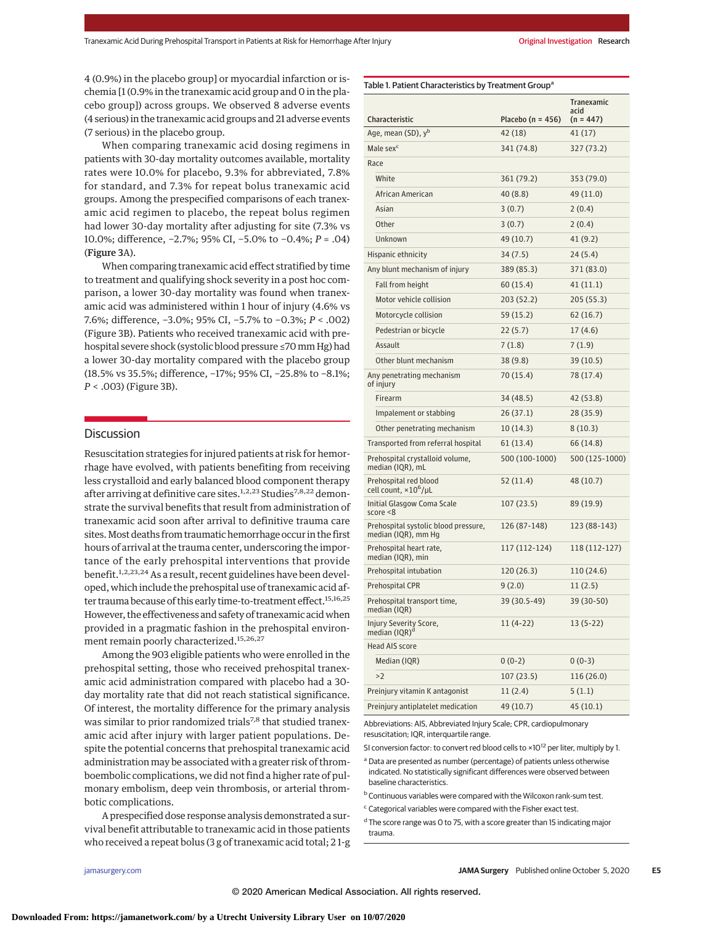4 (0.9%) in the placebo group] or myocardial infarction or ischemia [1 (0.9% in the tranexamic acid group and 0 in the placebo group]) across groups. We observed 8 adverse events (4 serious) in the tranexamic acid groups and 21 adverse events (7 serious) in the placebo group.

When comparing tranexamic acid dosing regimens in patients with 30-day mortality outcomes available, mortality rates were 10.0% for placebo, 9.3% for abbreviated, 7.8% for standard, and 7.3% for repeat bolus tranexamic acid groups. Among the prespecified comparisons of each tranexamic acid regimen to placebo, the repeat bolus regimen had lower 30-day mortality after adjusting for site (7.3% vs 10.0%; difference, −2.7%; 95% CI, −5.0% to −0.4%; *P* = .04) (Figure 3A).

When comparing tranexamic acid effect stratified by time to treatment and qualifying shock severity in a post hoc comparison, a lower 30-day mortality was found when tranexamic acid was administered within 1 hour of injury (4.6% vs 7.6%; difference, −3.0%; 95% CI, −5.7% to −0.3%; *P* < .002) (Figure 3B). Patients who received tranexamic acid with prehospital severe shock (systolic blood pressure ≤70mm Hg) had a lower 30-day mortality compared with the placebo group (18.5% vs 35.5%; difference, −17%; 95% CI, −25.8% to −8.1%; *P* < .003) (Figure 3B).

# **Discussion**

Resuscitation strategies for injured patients at risk for hemorrhage have evolved, with patients benefiting from receiving less crystalloid and early balanced blood component therapy after arriving at definitive care sites.<sup>1,2,23</sup> Studies<sup>7,8,22</sup> demonstrate the survival benefits that result from administration of tranexamic acid soon after arrival to definitive trauma care sites.Most deaths from traumatic hemorrhage occur in the first hours of arrival at the trauma center, underscoring the importance of the early prehospital interventions that provide benefit.<sup>1,2,23,24</sup> As a result, recent guidelines have been developed, which include the prehospital use of tranexamic acid after trauma because of this early time-to-treatment effect.<sup>15,16,25</sup> However, the effectiveness and safety of tranexamic acid when provided in a pragmatic fashion in the prehospital environment remain poorly characterized.<sup>15,26,27</sup>

Among the 903 eligible patients who were enrolled in the prehospital setting, those who received prehospital tranexamic acid administration compared with placebo had a 30 day mortality rate that did not reach statistical significance. Of interest, the mortality difference for the primary analysis was similar to prior randomized trials<sup>7,8</sup> that studied tranexamic acid after injury with larger patient populations. Despite the potential concerns that prehospital tranexamic acid administration may be associated with a greater risk of thromboembolic complications, we did not find a higher rate of pulmonary embolism, deep vein thrombosis, or arterial thrombotic complications.

A prespecified dose response analysis demonstrated a survival benefit attributable to tranexamic acid in those patients who received a repeat bolus (3 g of tranexamic acid total; 2 1-g

Any penetrating mechanism of injury Prehospital crystalloid volume, median (IQR), mL Prehospital red blood cell count, ×10<sup>6</sup> /μL Initial Glasgow Coma Scale score <8

| Age, mean (SD), y <sup>b</sup>                              | 42 (18)        | 41 (17)        |
|-------------------------------------------------------------|----------------|----------------|
| Male sex <sup>c</sup>                                       | 341 (74.8)     | 327 (73.2)     |
| Race                                                        |                |                |
| White                                                       | 361 (79.2)     | 353 (79.0)     |
| African American                                            | 40(8.8)        | 49 (11.0)      |
| Asian                                                       | 3(0.7)         | 2(0.4)         |
| Other                                                       | 3(0.7)         | 2(0.4)         |
| Unknown                                                     | 49 (10.7)      | 41(9.2)        |
| Hispanic ethnicity                                          | 34(7.5)        | 24(5.4)        |
| Any blunt mechanism of injury                               | 389 (85.3)     | 371 (83.0)     |
| Fall from height                                            | 60 (15.4)      | 41(11.1)       |
| Motor vehicle collision                                     | 203 (52.2)     | 205 (55.3)     |
| Motorcycle collision                                        | 59 (15.2)      | 62(16.7)       |
| Pedestrian or bicycle                                       | 22(5.7)        | 17(4.6)        |
| Assault                                                     | 7(1.8)         | 7 (1.9)        |
| Other blunt mechanism                                       | 38(9.8)        | 39 (10.5)      |
| Any penetrating mechanism<br>of injury                      | 70 (15.4)      | 78 (17.4)      |
| Firearm                                                     | 34 (48.5)      | 42 (53.8)      |
| Impalement or stabbing                                      | 26(37.1)       | 28 (35.9)      |
| Other penetrating mechanism                                 | 10(14.3)       | 8(10.3)        |
| Transported from referral hospital                          | 61 (13.4)      | 66 (14.8)      |
| Prehospital crystalloid volume,<br>median (IQR), mL         | 500 (100-1000) | 500 (125-1000) |
| Prehospital red blood<br>cell count, ×10 <sup>6</sup> /µL   | 52 (11.4)      | 48 (10.7)      |
| Initial Glasgow Coma Scale<br>score <8                      | 107(23.5)      | 89 (19.9)      |
| Prehospital systolic blood pressure,<br>median (IQR), mm Hg | 126 (87-148)   | 123 (88-143)   |
| Prehospital heart rate,<br>median (IQR), min                | 117 (112-124)  | 118 (112-127)  |
| Prehospital intubation                                      | 120 (26.3)     | 110 (24.6)     |
| Prehospital CPR                                             | 9(2.0)         | 11(2.5)        |
| Prehospital transport time,<br>median (IQR)                 | 39 (30.5-49)   | 39 (30-50)     |
| Injury Severity Score,<br>median (IQR) <sup>d</sup>         | $11(4-22)$     | $13(5-22)$     |
| <b>Head AIS score</b>                                       |                |                |
| Median (IQR)                                                | $0(0-2)$       | $0(0-3)$       |
| >2                                                          | 107 (23.5)     | 116 (26.0)     |
| Preinjury vitamin K antagonist                              | 11(2.4)        | 5(1.1)         |
| Preinjury antiplatelet medication                           | 49 (10.7)      | 45 (10.1)      |

Abbreviations: AIS, Abbreviated Injury Scale; CPR, cardiopulmonary resuscitation; IQR, interquartile range.

SI conversion factor: to convert red blood cells to  $\times 10^{12}$  per liter, multiply by 1.

<sup>a</sup> Data are presented as number (percentage) of patients unless otherwise indicated. No statistically significant differences were observed between baseline characteristics.

**b** Continuous variables were compared with the Wilcoxon rank-sum test.

<sup>c</sup> Categorical variables were compared with the Fisher exact test.

<sup>d</sup> The score range was 0 to 75, with a score greater than 15 indicating major trauma.

Tranexamic acid  $(n = 447)$ 

Table 1. Patient Characteristics by Treatment Group<sup>a</sup>

Characteristic Placebo (n = 456)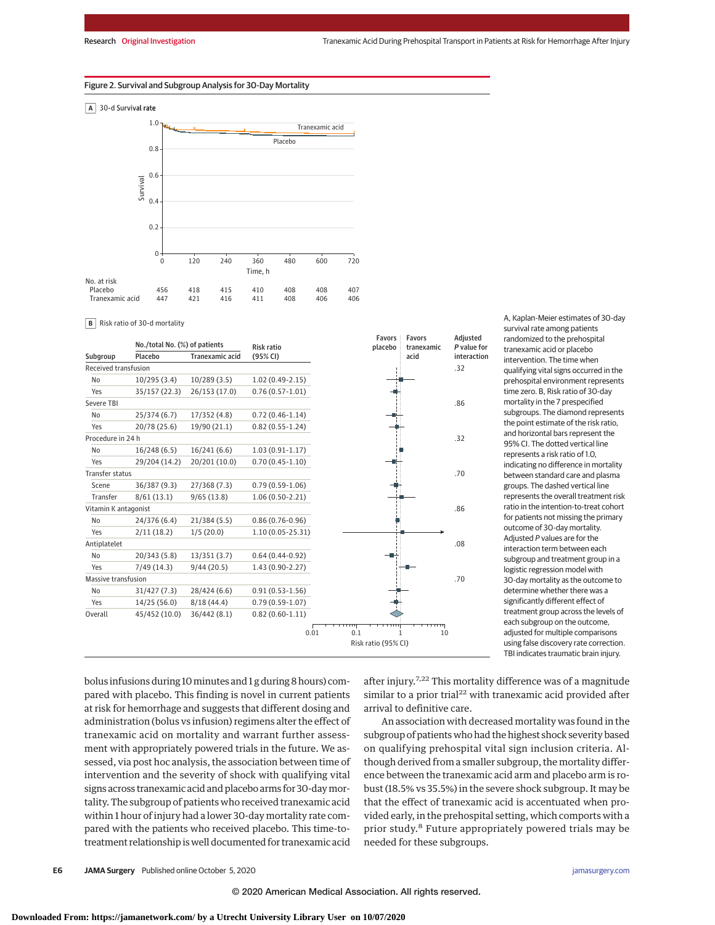### Figure 2. Survival and Subgroup Analysis for 30-Day Mortality



**B** Risk ratio of 30-d mortality

|                      |                               |                        |                     | <b>Favors</b>       | <b>Favors</b> | Adjusted    |
|----------------------|-------------------------------|------------------------|---------------------|---------------------|---------------|-------------|
|                      | No./total No. (%) of patients |                        | <b>Risk ratio</b>   | placebo             | tranexamic    | P value for |
| Subgroup             | Placebo                       | <b>Tranexamic acid</b> | (95% CI)            |                     | acid          | interaction |
| Received transfusion |                               |                        |                     |                     |               | .32         |
| No                   | 10/295(3.4)                   | 10/289(3.5)            | $1.02(0.49-2.15)$   |                     |               |             |
| Yes                  | 35/157 (22.3)                 | 26/153 (17.0)          | $0.76(0.57 - 1.01)$ |                     |               |             |
| Severe TBI           |                               |                        |                     |                     |               | .86         |
| No                   | 25/374(6.7)                   | 17/352 (4.8)           | $0.72(0.46-1.14)$   |                     |               |             |
| Yes                  | 20/78 (25.6)                  | 19/90 (21.1)           | $0.82(0.55 - 1.24)$ |                     |               |             |
| Procedure in 24 h    |                               |                        |                     |                     |               | .32         |
| No                   | 16/248(6.5)                   | 16/241(6.6)            | $1.03(0.91 - 1.17)$ |                     |               |             |
| Yes                  | 29/204 (14.2)                 | 20/201 (10.0)          | $0.70(0.45 - 1.10)$ |                     |               |             |
| Transfer status      |                               |                        |                     |                     |               | .70         |
| Scene                | 36/387 (9.3)                  | 27/368(7.3)            | $0.79(0.59-1.06)$   |                     |               |             |
| Transfer             | 8/61(13.1)                    | 9/65(13.8)             | $1.06(0.50-2.21)$   |                     |               |             |
| Vitamin K antagonist |                               |                        |                     |                     |               | .86         |
| No                   | 24/376 (6.4)                  | 21/384 (5.5)           | $0.86(0.76 - 0.96)$ |                     |               |             |
| Yes                  | 2/11(18.2)                    | 1/5(20.0)              | 1.10 (0.05-25.31)   |                     |               |             |
| Antiplatelet         |                               |                        |                     |                     |               | .08         |
| N <sub>0</sub>       | 20/343 (5.8)                  | 13/351(3.7)            | $0.64(0.44-0.92)$   |                     |               |             |
| Yes                  | 7/49(14.3)                    | 9/44(20.5)             | 1.43 (0.90-2.27)    |                     |               |             |
| Massive transfusion  |                               |                        |                     |                     |               | .70         |
| No                   | 31/427 (7.3)                  | 28/424 (6.6)           | $0.91(0.53 - 1.56)$ |                     |               |             |
| Yes                  | 14/25 (56.0)                  | 8/18(44.4)             | $0.79(0.59 - 1.07)$ |                     |               |             |
| Overall              | 45/452 (10.0)                 | 36/442 (8.1)           | $0.82(0.60-1.11)$   |                     |               |             |
|                      |                               |                        |                     |                     | गग            |             |
|                      |                               |                        |                     | 0.01<br>0.1         | 10<br>1       |             |
|                      |                               |                        |                     | Risk ratio (95% CI) |               |             |

survival rate among patients randomized to the prehospital tranexamic acid or placebo intervention. The time when qualifying vital signs occurred in the prehospital environment represents time zero. B, Risk ratio of 30-day mortality in the 7 prespecified subgroups. The diamond represents the point estimate of the risk ratio, and horizontal bars represent the 95% CI. The dotted vertical line represents a risk ratio of 1.0 indicating no difference in mortality between standard care and plasma groups. The dashed vertical line represents the overall treatment risk ratio in the intention-to-treat cohort for patients not missing the primary outcome of 30-day mortality. Adjusted P values are for the interaction term between each subgroup and treatment group in a logistic regression model with 30-day mortality as the outcome to determine whether there was a significantly different effect of treatment group across the levels of each subgroup on the outcome, adjusted for multiple comparisons using false discovery rate correction. TBI indicates traumatic brain injury.

A, Kaplan-Meier estimates of 30-day

bolus infusions during 10 minutes and 1 g during 8 hours) compared with placebo. This finding is novel in current patients at risk for hemorrhage and suggests that different dosing and administration (bolus vs infusion) regimens alter the effect of tranexamic acid on mortality and warrant further assessment with appropriately powered trials in the future. We assessed, via post hoc analysis, the association between time of intervention and the severity of shock with qualifying vital signs across tranexamic acid and placebo arms for 30-daymortality. The subgroup of patients who received tranexamic acid within 1 hour of injury had a lower 30-day mortality rate compared with the patients who received placebo. This time-totreatment relationship is well documented for tranexamic acid

after injury.<sup>7,22</sup> This mortality difference was of a magnitude similar to a prior trial<sup>22</sup> with tranexamic acid provided after arrival to definitive care.

An association with decreased mortality was found in the subgroup of patients who had the highest shock severity based on qualifying prehospital vital sign inclusion criteria. Although derived from a smaller subgroup, the mortality difference between the tranexamic acid arm and placebo arm is robust (18.5% vs 35.5%) in the severe shock subgroup. It may be that the effect of tranexamic acid is accentuated when provided early, in the prehospital setting, which comports with a prior study.<sup>8</sup> Future appropriately powered trials may be needed for these subgroups.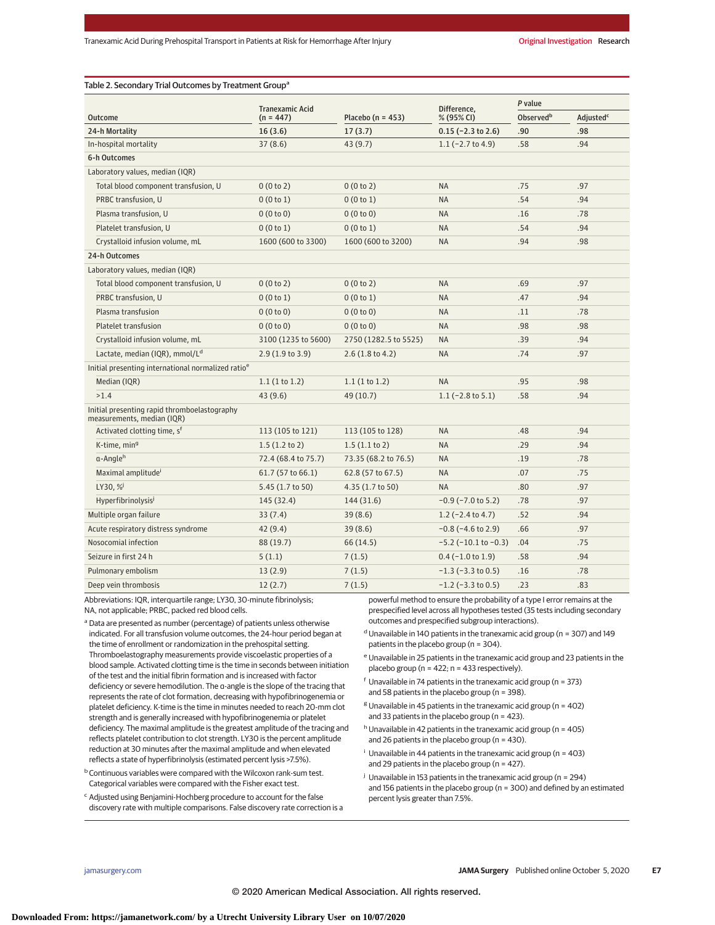### Table 2. Secondary Trial Outcomes by Treatment Group<sup>a</sup>

|                                                                            | <b>Tranexamic Acid</b>                             |                       | Difference.                  | P value               |                       |
|----------------------------------------------------------------------------|----------------------------------------------------|-----------------------|------------------------------|-----------------------|-----------------------|
| <b>Outcome</b>                                                             | Placebo ( $n = 453$ )<br>% (95% CI)<br>$(n = 447)$ |                       |                              | Observed <sup>b</sup> | Adjusted <sup>c</sup> |
| 24-h Mortality                                                             | 16(3.6)                                            | 17(3.7)               | $0.15$ (-2.3 to 2.6)         | .90                   | .98                   |
| In-hospital mortality                                                      | 37(8.6)                                            | 43(9.7)               | $1.1$ (-2.7 to 4.9)          | .58                   | .94                   |
| 6-h Outcomes                                                               |                                                    |                       |                              |                       |                       |
| Laboratory values, median (IQR)                                            |                                                    |                       |                              |                       |                       |
| Total blood component transfusion, U                                       | 0(0 to 2)                                          | 0(0 to 2)             | <b>NA</b>                    | .75                   | .97                   |
| PRBC transfusion, U                                                        | 0(0 to 1)                                          | 0(0 to 1)             | <b>NA</b>                    | .54                   | .94                   |
| Plasma transfusion, U                                                      | 0(0 to 0)                                          | 0(0 to 0)             | <b>NA</b>                    | .16                   | .78                   |
| Platelet transfusion, U                                                    | 0(0 to 1)                                          | 0(0 to 1)             | <b>NA</b>                    | .54                   | .94                   |
| Crystalloid infusion volume, mL                                            | 1600 (600 to 3300)                                 | 1600 (600 to 3200)    | <b>NA</b>                    | .94                   | .98                   |
| 24-h Outcomes                                                              |                                                    |                       |                              |                       |                       |
| Laboratory values, median (IQR)                                            |                                                    |                       |                              |                       |                       |
| Total blood component transfusion, U                                       | 0(0 to 2)                                          | 0(0 to 2)             | <b>NA</b>                    | .69                   | .97                   |
| PRBC transfusion, U                                                        | 0(0 to 1)                                          | 0(0 to 1)             | <b>NA</b>                    | .47                   | .94                   |
| Plasma transfusion                                                         | 0(0 to 0)                                          | 0(0 to 0)             | <b>NA</b>                    | .11                   | .78                   |
| Platelet transfusion                                                       | 0(0 to 0)                                          | 0(0 to 0)             | <b>NA</b>                    | .98                   | .98                   |
| Crystalloid infusion volume, mL                                            | 3100 (1235 to 5600)                                | 2750 (1282.5 to 5525) | <b>NA</b>                    | .39                   | .94                   |
| Lactate, median (IQR), mmol/L <sup>d</sup>                                 | 2.9(1.9 to 3.9)                                    | 2.6(1.8 to 4.2)       | <b>NA</b>                    | .74                   | .97                   |
| Initial presenting international normalized ratio <sup>e</sup>             |                                                    |                       |                              |                       |                       |
| Median (IQR)                                                               | 1.1(1 to 1.2)                                      | 1.1(1 to 1.2)         | <b>NA</b>                    | .95                   | .98                   |
| >1.4                                                                       | 43(9.6)                                            | 49 (10.7)             | $1.1$ (-2.8 to 5.1)          | .58                   | .94                   |
| Initial presenting rapid thromboelastography<br>measurements, median (IQR) |                                                    |                       |                              |                       |                       |
| Activated clotting time, s <sup>f</sup>                                    | 113 (105 to 121)                                   | 113 (105 to 128)      | <b>NA</b>                    | .48                   | .94                   |
| K-time, min <sup>9</sup>                                                   | $1.5(1.2 \text{ to } 2)$                           | 1.5(1.1 to 2)         | <b>NA</b>                    | .29                   | .94                   |
| a-Anale <sup>h</sup>                                                       | 72.4 (68.4 to 75.7)                                | 73.35 (68.2 to 76.5)  | <b>NA</b>                    | .19                   | .78                   |
| Maximal amplitude <sup>i</sup>                                             | 61.7 (57 to 66.1)                                  | 62.8 (57 to 67.5)     | <b>NA</b>                    | .07                   | .75                   |
| LY30, %                                                                    | 5.45 (1.7 to 50)                                   | 4.35 (1.7 to 50)      | <b>NA</b>                    | .80                   | .97                   |
| Hyperfibrinolysis <sup>j</sup>                                             | 145 (32.4)                                         | 144 (31.6)            | $-0.9$ ( $-7.0$ to 5.2)      | .78                   | .97                   |
| Multiple organ failure                                                     | 33(7.4)                                            | 39(8.6)               | $1.2$ (-2.4 to 4.7)          | .52                   | .94                   |
| Acute respiratory distress syndrome                                        | 42(9.4)                                            | 39(8.6)               | $-0.8$ ( $-4.6$ to 2.9)      | .66                   | .97                   |
| Nosocomial infection                                                       | 88 (19.7)                                          | 66 (14.5)             | $-5.2$ ( $-10.1$ to $-0.3$ ) | .04                   | .75                   |
| Seizure in first 24 h                                                      | 5(1.1)                                             | 7(1.5)                | $0.4$ (-1.0 to 1.9)          | .58                   | .94                   |
| Pulmonary embolism                                                         | 13(2.9)                                            | 7(1.5)                | $-1.3$ ( $-3.3$ to 0.5)      | .16                   | .78                   |
| Deep vein thrombosis                                                       | 12(2.7)                                            | 7(1.5)                | $-1.2$ ( $-3.3$ to 0.5)      | .23                   | .83                   |

Abbreviations: IQR, interquartile range; LY30, 30-minute fibrinolysis; NA, not applicable; PRBC, packed red blood cells.

<sup>a</sup> Data are presented as number (percentage) of patients unless otherwise indicated. For all transfusion volume outcomes, the 24-hour period began at the time of enrollment or randomization in the prehospital setting. Thromboelastography measurements provide viscoelastic properties of a blood sample. Activated clotting time is the time in seconds between initiation of the test and the initial fibrin formation and is increased with factor deficiency or severe hemodilution. The α-angle is the slope of the tracing that represents the rate of clot formation, decreasing with hypofibrinogenemia or platelet deficiency. K-time is the time in minutes needed to reach 20-mm clot strength and is generally increased with hypofibrinogenemia or platelet deficiency. The maximal amplitude is the greatest amplitude of the tracing and reflects platelet contribution to clot strength. LY30 is the percent amplitude reduction at 30 minutes after the maximal amplitude and when elevated reflects a state of hyperfibrinolysis (estimated percent lysis >7.5%).

b Continuous variables were compared with the Wilcoxon rank-sum test. Categorical variables were compared with the Fisher exact test.

<sup>c</sup> Adjusted using Benjamini-Hochberg procedure to account for the false discovery rate with multiple comparisons. False discovery rate correction is a powerful method to ensure the probability of a type I error remains at the prespecified level across all hypotheses tested (35 tests including secondary outcomes and prespecified subgroup interactions).

- $<sup>d</sup>$  Unavailable in 140 patients in the tranexamic acid group (n = 307) and 149</sup> patients in the placebo group (n = 304).
- <sup>e</sup> Unavailable in 25 patients in the tranexamic acid group and 23 patients in the placebo group (n = 422; n = 433 respectively).
- $f$  Unavailable in 74 patients in the tranexamic acid group (n = 373) and 58 patients in the placebo group (n = 398).
- $8$  Unavailable in 45 patients in the tranexamic acid group (n = 402) and 33 patients in the placebo group (n = 423).
- $h$  Unavailable in 42 patients in the tranexamic acid group (n = 405) and 26 patients in the placebo group (n = 430).
- $\frac{1}{2}$  Unavailable in 44 patients in the tranexamic acid group (n = 403) and 29 patients in the placebo group (n = 427).
- <sup>j</sup> Unavailable in 153 patients in the tranexamic acid group (n = 294) and 156 patients in the placebo group (n = 300) and defined by an estimated percent lysis greater than 7.5%.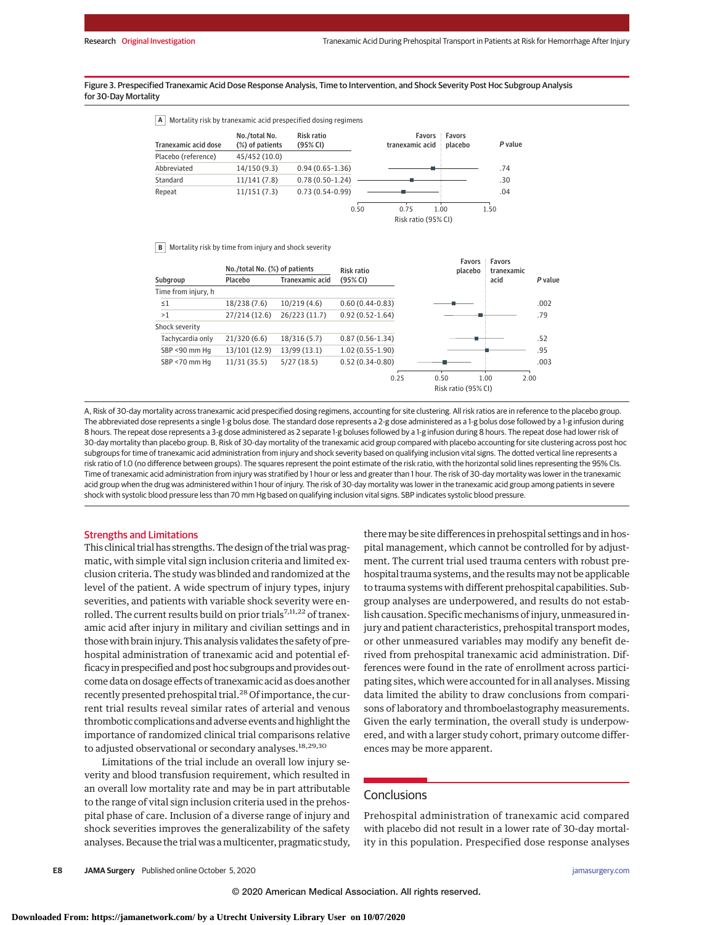### Figure 3. Prespecified Tranexamic Acid Dose Response Analysis, Time to Intervention, and Shock Severity Post Hoc Subgroup Analysis for 30-Day Mortality

**A** Mortality risk by tranexamic acid prespecified dosing regimens

| Tranexamic acid dose | No./total No.<br>(%) of patients | Risk ratio<br>(95% CI) | tranexamic acid i placebo | <b>Favors Favors</b> | P value |
|----------------------|----------------------------------|------------------------|---------------------------|----------------------|---------|
| Placebo (reference)  | 45/452 (10.0)                    |                        |                           |                      |         |
| Abbreviated          | 14/150(9.3)                      | $0.94(0.65 - 1.36)$    |                           |                      | .74     |
| Standard             | 11/141(7.8)                      | $0.78(0.50-1.24)$      |                           |                      | .30     |
| Repeat               | 11/151(7.3)                      | $0.73(0.54-0.99)$      |                           |                      | .04     |
|                      |                                  |                        | 0.50<br>0.75              | 1.00                 | 1.50    |
|                      |                                  |                        | Risk ratio (95% CI)       |                      |         |

**B** Mortality risk by time from injury and shock severity

|                     | No./total No. (%) of patients |                 | Risk ratio          |      | Favors<br>placebo   |      | tranexamic |
|---------------------|-------------------------------|-----------------|---------------------|------|---------------------|------|------------|
| Subgroup            | Placebo                       | Tranexamic acid | (95% CI)            |      |                     | acid | P value    |
| Time from injury, h |                               |                 |                     |      |                     |      |            |
| $\leq 1$            | 18/238 (7.6)                  | 10/219(4.6)     | $0.60(0.44 - 0.83)$ |      |                     |      | .002       |
| >1                  | 27/214 (12.6)                 | 26/223 (11.7)   | $0.92(0.52 - 1.64)$ |      |                     |      | .79        |
| Shock severity      |                               |                 |                     |      |                     |      |            |
| Tachycardia only    | 21/320(6.6)                   | 18/316(5.7)     | $0.87(0.56 - 1.34)$ |      |                     |      | .52        |
| SBP <90 mm Hq       | 13/101 (12.9)                 | 13/99 (13.1)    | $1.02(0.55 - 1.90)$ |      |                     |      | .95        |
| SBP <70 mm Hq       | 11/31(35.5)                   | 5/27(18.5)      | $0.52(0.34-0.80)$   |      |                     |      | .003       |
|                     |                               |                 |                     | 0.25 | 0.50                | 1.00 | 2.00       |
|                     |                               |                 |                     |      | Risk ratio (95% CI) |      |            |

A, Risk of 30-day mortality across tranexamic acid prespecified dosing regimens, accounting for site clustering. All risk ratios are in reference to the placebo group. The abbreviated dose represents a single 1-g bolus dose. The standard dose represents a 2-g dose administered as a 1-g bolus dose followed by a 1-g infusion during 8 hours. The repeat dose represents a 3-g dose administered as 2 separate 1-g boluses followed by a 1-g infusion during 8 hours. The repeat dose had lower risk of 30-day mortality than placebo group. B, Risk of 30-day mortality of the tranexamic acid group compared with placebo accounting for site clustering across post hoc subgroups for time of tranexamic acid administration from injury and shock severity based on qualifying inclusion vital signs. The dotted vertical line represents a risk ratio of 1.0 (no difference between groups). The squares represent the point estimate of the risk ratio, with the horizontal solid lines representing the 95% CIs. Time of tranexamic acid administration from injury was stratified by 1 hour or less and greater than 1 hour. The risk of 30-day mortality was lower in the tranexamic acid group when the drug was administered within 1 hour of injury. The risk of 30-day mortality was lower in the tranexamic acid group among patients in severe shock with systolic blood pressure less than 70 mm Hg based on qualifying inclusion vital signs. SBP indicates systolic blood pressure.

### Strengths and Limitations

This clinical trial has strengths. The design of the trial was pragmatic, with simple vital sign inclusion criteria and limited exclusion criteria. The study was blinded and randomized at the level of the patient. A wide spectrum of injury types, injury severities, and patients with variable shock severity were enrolled. The current results build on prior trials<sup>7,11,22</sup> of tranexamic acid after injury in military and civilian settings and in those with brain injury. This analysis validates the safety of prehospital administration of tranexamic acid and potential efficacy in prespecified and post hoc subgroups and provides outcome data on dosage effects of tranexamic acid as does another recently presented prehospital trial.<sup>28</sup> Of importance, the current trial results reveal similar rates of arterial and venous thrombotic complications and adverse events and highlight the importance of randomized clinical trial comparisons relative to adjusted observational or secondary analyses.<sup>18,29,30</sup>

Limitations of the trial include an overall low injury severity and blood transfusion requirement, which resulted in an overall low mortality rate and may be in part attributable to the range of vital sign inclusion criteria used in the prehospital phase of care. Inclusion of a diverse range of injury and shock severities improves the generalizability of the safety analyses. Because the trial was amulticenter, pragmatic study,

theremay be site differences in prehospital settings and in hospital management, which cannot be controlled for by adjustment. The current trial used trauma centers with robust prehospital trauma systems, and the resultsmay not be applicable to trauma systems with different prehospital capabilities. Subgroup analyses are underpowered, and results do not establish causation. Specific mechanisms of injury, unmeasured injury and patient characteristics, prehospital transport modes, or other unmeasured variables may modify any benefit derived from prehospital tranexamic acid administration. Differences were found in the rate of enrollment across participating sites, which were accounted for in all analyses. Missing data limited the ability to draw conclusions from comparisons of laboratory and thromboelastography measurements. Given the early termination, the overall study is underpowered, and with a larger study cohort, primary outcome differences may be more apparent.

# **Conclusions**

Prehospital administration of tranexamic acid compared with placebo did not result in a lower rate of 30-day mortality in this population. Prespecified dose response analyses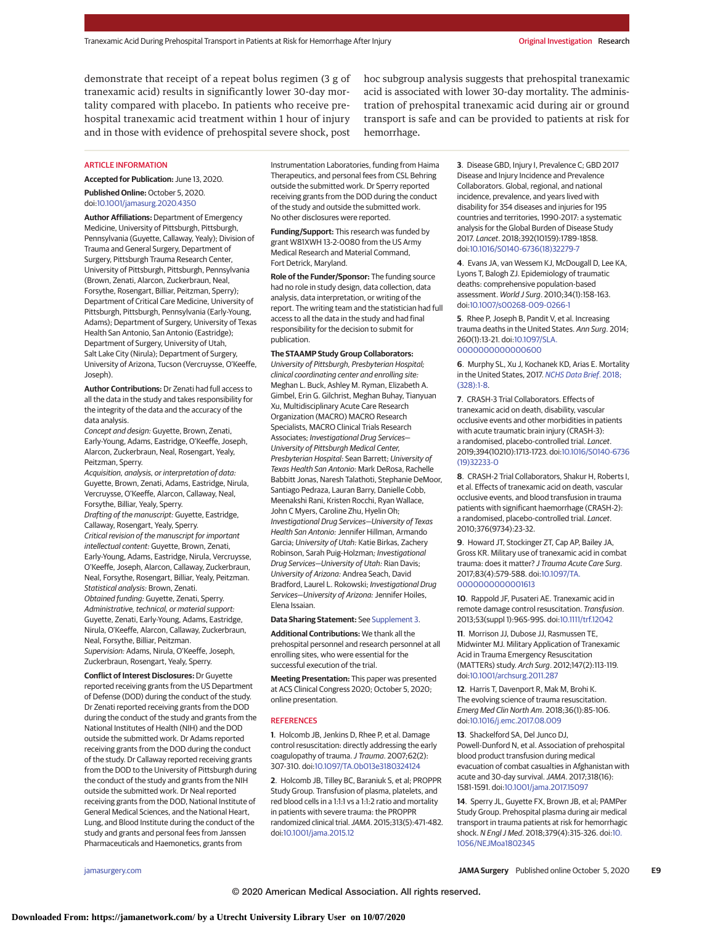demonstrate that receipt of a repeat bolus regimen (3 g of tranexamic acid) results in significantly lower 30-day mortality compared with placebo. In patients who receive prehospital tranexamic acid treatment within 1 hour of injury and in those with evidence of prehospital severe shock, post

hoc subgroup analysis suggests that prehospital tranexamic acid is associated with lower 30-day mortality. The administration of prehospital tranexamic acid during air or ground transport is safe and can be provided to patients at risk for hemorrhage.

#### **ARTICLE INFORMATION**

**Accepted for Publication:** June 13, 2020. **Published Online:** October 5, 2020.

doi[:10.1001/jamasurg.2020.4350](https://jamanetwork.com/journals/jama/fullarticle/10.1001/jamasurg.2020.4350?utm_campaign=articlePDF%26utm_medium=articlePDFlink%26utm_source=articlePDF%26utm_content=jamasurg.2020.4350) **Author Affiliations:** Department of Emergency

Medicine, University of Pittsburgh, Pittsburgh, Pennsylvania (Guyette, Callaway, Yealy); Division of Trauma and General Surgery, Department of Surgery, Pittsburgh Trauma Research Center, University of Pittsburgh, Pittsburgh, Pennsylvania (Brown, Zenati, Alarcon, Zuckerbraun, Neal, Forsythe, Rosengart, Billiar, Peitzman, Sperry); Department of Critical Care Medicine, University of Pittsburgh, Pittsburgh, Pennsylvania (Early-Young, Adams); Department of Surgery, University of Texas Health San Antonio, San Antonio (Eastridge); Department of Surgery, University of Utah, Salt Lake City (Nirula); Department of Surgery, University of Arizona, Tucson (Vercruysse, O'Keeffe, Joseph).

**Author Contributions:** Dr Zenati had full access to all the data in the study and takes responsibility for the integrity of the data and the accuracy of the data analysis.

Concept and design: Guyette, Brown, Zenati, Early-Young, Adams, Eastridge, O'Keeffe, Joseph, Alarcon, Zuckerbraun, Neal, Rosengart, Yealy, Peitzman, Sperry.

Acquisition, analysis, or interpretation of data: Guyette, Brown, Zenati, Adams, Eastridge, Nirula, Vercruysse, O'Keeffe, Alarcon, Callaway, Neal, Forsythe, Billiar, Yealy, Sperry. Drafting of the manuscript: Guyette, Eastridge, Callaway, Rosengart, Yealy, Sperry. Critical revision of the manuscript for important intellectual content: Guyette, Brown, Zenati, Early-Young, Adams, Eastridge, Nirula, Vercruysse, O'Keeffe, Joseph, Alarcon, Callaway, Zuckerbraun, Neal, Forsythe, Rosengart, Billiar, Yealy, Peitzman. Statistical analysis: Brown, Zenati. Obtained funding: Guyette, Zenati, Sperry. Administrative, technical, or material support: Guyette, Zenati, Early-Young, Adams, Eastridge, Nirula, O'Keeffe, Alarcon, Callaway, Zuckerbraun, Neal, Forsythe, Billiar, Peitzman. Supervision: Adams, Nirula, O'Keeffe, Joseph, Zuckerbraun, Rosengart, Yealy, Sperry.

**Conflict of Interest Disclosures:** Dr Guyette reported receiving grants from the US Department of Defense (DOD) during the conduct of the study. Dr Zenati reported receiving grants from the DOD during the conduct of the study and grants from the National Institutes of Health (NIH) and the DOD outside the submitted work. Dr Adams reported receiving grants from the DOD during the conduct of the study. Dr Callaway reported receiving grants from the DOD to the University of Pittsburgh during the conduct of the study and grants from the NIH outside the submitted work. Dr Neal reported receiving grants from the DOD, National Institute of General Medical Sciences, and the National Heart, Lung, and Blood Institute during the conduct of the study and grants and personal fees from Janssen Pharmaceuticals and Haemonetics, grants from

Instrumentation Laboratories, funding from Haima Therapeutics, and personal fees from CSL Behring outside the submitted work. Dr Sperry reported receiving grants from the DOD during the conduct of the study and outside the submitted work. No other disclosures were reported.

**Funding/Support:** This research was funded by grant W81XWH 13-2-0080 from the US Army Medical Research and Material Command, Fort Detrick, Maryland.

**Role of the Funder/Sponsor:** The funding source had no role in study design, data collection, data analysis, data interpretation, or writing of the report. The writing team and the statistician had full access to all the data in the study and had final responsibility for the decision to submit for publication.

### **The STAAMP Study Group Collaborators:**

University of Pittsburgh, Presbyterian Hospital; clinical coordinating center and enrolling site: Meghan L. Buck, Ashley M. Ryman, Elizabeth A. Gimbel, Erin G. Gilchrist, Meghan Buhay, Tianyuan Xu, Multidisciplinary Acute Care Research Organization (MACRO) MACRO Research Specialists, MACRO Clinical Trials Research Associates; Investigational Drug Services— University of Pittsburgh Medical Center, Presbyterian Hospital: Sean Barrett; University of Texas Health San Antonio: Mark DeRosa, Rachelle Babbitt Jonas, Naresh Talathoti, Stephanie DeMoor, Santiago Pedraza, Lauran Barry, Danielle Cobb, Meenakshi Rani, Kristen Rocchi, Ryan Wallace, John C Myers, Caroline Zhu, Hyelin Oh; Investigational Drug Services—University of Texas Health San Antonio: Jennifer Hillman, Armando Garcia; University of Utah: Katie Birkas, Zachery Robinson, Sarah Puig-Holzman; Investigational Drug Services—University of Utah: Rian Davis; University of Arizona: Andrea Seach, David Bradford, Laurel L. Rokowski; Investigational Drug Services—University of Arizona: Jennifer Hoiles, Elena Issaian.

**Data Sharing Statement:** See [Supplement 3.](https://jamanetwork.com/journals/jama/fullarticle/10.1001/jamasurg.2020.4350?utm_campaign=articlePDF%26utm_medium=articlePDFlink%26utm_source=articlePDF%26utm_content=jamasurg.2020.4350)

**Additional Contributions:** We thank all the prehospital personnel and research personnel at all enrolling sites, who were essential for the successful execution of the trial.

**Meeting Presentation:** This paper was presented at ACS Clinical Congress 2020; October 5, 2020; online presentation.

#### **REFERENCES**

**1**. Holcomb JB, Jenkins D, Rhee P, et al. Damage control resuscitation: directly addressing the early coagulopathy of trauma. J Trauma. 2007;62(2): 307-310. doi[:10.1097/TA.0b013e3180324124](https://dx.doi.org/10.1097/TA.0b013e3180324124)

**2**. Holcomb JB, Tilley BC, Baraniuk S, et al; PROPPR Study Group. Transfusion of plasma, platelets, and red blood cells in a 1:1:1 vs a 1:1:2 ratio and mortality in patients with severe trauma: the PROPPR randomized clinical trial.JAMA. 2015;313(5):471-482. doi[:10.1001/jama.2015.12](https://jamanetwork.com/journals/jama/fullarticle/10.1001/jama.2015.12?utm_campaign=articlePDF%26utm_medium=articlePDFlink%26utm_source=articlePDF%26utm_content=jamasurg.2020.4350)

**3**. Disease GBD, Injury I, Prevalence C; GBD 2017 Disease and Injury Incidence and Prevalence Collaborators. Global, regional, and national incidence, prevalence, and years lived with disability for 354 diseases and injuries for 195 countries and territories, 1990-2017: a systematic analysis for the Global Burden of Disease Study 2017. Lancet. 2018;392(10159):1789-1858. doi[:10.1016/S0140-6736\(18\)32279-7](https://dx.doi.org/10.1016/S0140-6736(18)32279-7)

**4**. Evans JA, van Wessem KJ, McDougall D, Lee KA, Lyons T, Balogh ZJ. Epidemiology of traumatic deaths: comprehensive population-based assessment. World J Surg. 2010;34(1):158-163. doi[:10.1007/s00268-009-0266-1](https://dx.doi.org/10.1007/s00268-009-0266-1)

**5**. Rhee P, Joseph B, Pandit V, et al. Increasing trauma deaths in the United States. Ann Surg. 2014; 260(1):13-21. doi[:10.1097/SLA.](https://dx.doi.org/10.1097/SLA.0000000000000600) [0000000000000600](https://dx.doi.org/10.1097/SLA.0000000000000600)

**6**. Murphy SL, Xu J, Kochanek KD, Arias E. Mortality in the United States, 2017. [NCHS Data Brief](https://www.ncbi.nlm.nih.gov/pubmed/30500322). 2018; [\(328\):1-8.](https://www.ncbi.nlm.nih.gov/pubmed/30500322)

**7**. CRASH-3 Trial Collaborators. Effects of tranexamic acid on death, disability, vascular occlusive events and other morbidities in patients with acute traumatic brain injury (CRASH-3): a randomised, placebo-controlled trial. Lancet. 2019;394(10210):1713-1723. doi[:10.1016/S0140-6736](https://dx.doi.org/10.1016/S0140-6736(19)32233-0) [\(19\)32233-0](https://dx.doi.org/10.1016/S0140-6736(19)32233-0)

**8**. CRASH-2 Trial Collaborators, Shakur H, Roberts I, et al. Effects of tranexamic acid on death, vascular occlusive events, and blood transfusion in trauma patients with significant haemorrhage (CRASH-2): a randomised, placebo-controlled trial. Lancet. 2010;376(9734):23-32.

**9**. Howard JT, Stockinger ZT, Cap AP, Bailey JA, Gross KR. Military use of tranexamic acid in combat trauma: does it matter? J Trauma Acute Care Surg. 2017;83(4):579-588. doi[:10.1097/TA.](https://dx.doi.org/10.1097/TA.0000000000001613) [0000000000001613](https://dx.doi.org/10.1097/TA.0000000000001613)

**10**. Rappold JF, Pusateri AE. Tranexamic acid in remote damage control resuscitation. Transfusion. 2013;53(suppl 1):96S-99S. doi[:10.1111/trf.12042](https://dx.doi.org/10.1111/trf.12042)

**11**. Morrison JJ, Dubose JJ, Rasmussen TE, Midwinter MJ. Military Application of Tranexamic Acid in Trauma Emergency Resuscitation (MATTERs) study. Arch Surg. 2012;147(2):113-119. doi[:10.1001/archsurg.2011.287](https://jamanetwork.com/journals/jama/fullarticle/10.1001/archsurg.2011.287?utm_campaign=articlePDF%26utm_medium=articlePDFlink%26utm_source=articlePDF%26utm_content=jamasurg.2020.4350)

**12**. Harris T, Davenport R, Mak M, Brohi K. The evolving science of trauma resuscitation. Emerg Med Clin North Am. 2018;36(1):85-106. doi[:10.1016/j.emc.2017.08.009](https://dx.doi.org/10.1016/j.emc.2017.08.009)

**13**. Shackelford SA, Del Junco DJ, Powell-Dunford N, et al. Association of prehospital blood product transfusion during medical evacuation of combat casualties in Afghanistan with acute and 30-day survival. JAMA. 2017;318(16): 1581-1591. doi[:10.1001/jama.2017.15097](https://jamanetwork.com/journals/jama/fullarticle/10.1001/jama.2017.15097?utm_campaign=articlePDF%26utm_medium=articlePDFlink%26utm_source=articlePDF%26utm_content=jamasurg.2020.4350)

**14**. Sperry JL, Guyette FX, Brown JB, et al; PAMPer Study Group. Prehospital plasma during air medical transport in trauma patients at risk for hemorrhagic shock. N Engl J Med. 2018;379(4):315-326. doi[:10.](https://dx.doi.org/10.1056/NEJMoa1802345) [1056/NEJMoa1802345](https://dx.doi.org/10.1056/NEJMoa1802345)